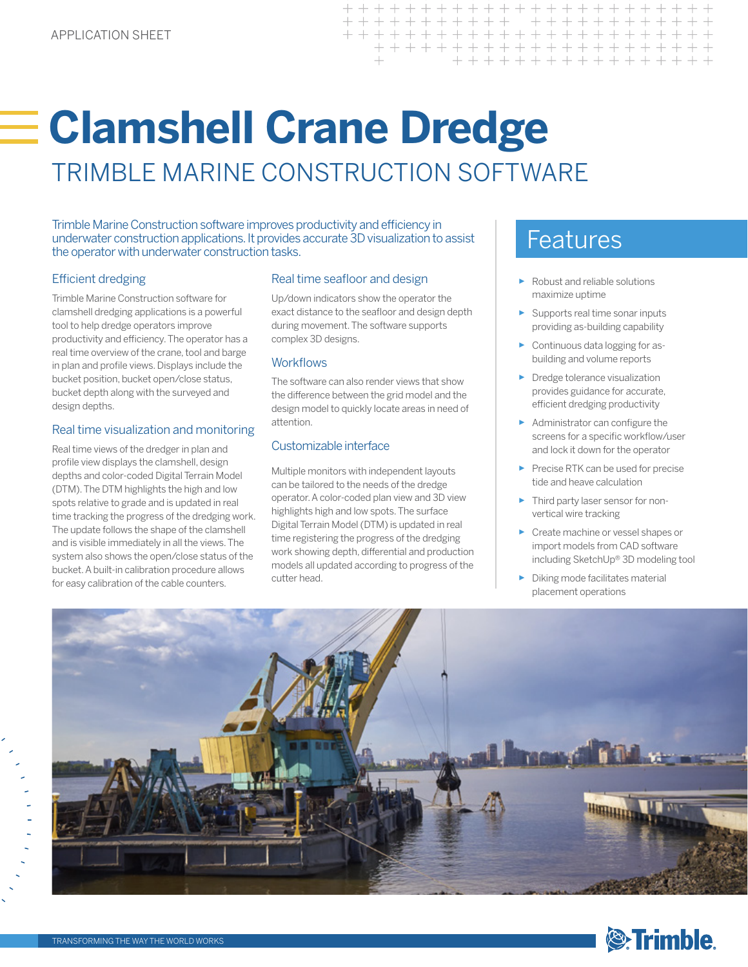# **Clamshell Crane Dredge** TRIMBLE MARINE CONSTRUCTION SOFTWARE

Trimble Marine Construction software improves productivity and efficiency in<br>underwater construction applications. It provides accurate 3D visualization to assist<br>the operator with underwater construction tasks the operator with underwater construction tasks.

### Efficient dredging

Trimble Marine Construction software for clamshell dredging applications is a powerful tool to help dredge operators improve productivity and efficiency. The operator has a real time overview of the crane, tool and barge in plan and profile views. Displays include the bucket position, bucket open/close status, bucket depth along with the surveyed and design depths.

#### Real time visualization and monitoring

Real time views of the dredger in plan and profile view displays the clamshell, design depths and color-coded Digital Terrain Model (DTM). The DTM highlights the high and low spots relative to grade and is updated in real time tracking the progress of the dredging work. The update follows the shape of the clamshell and is visible immediately in all the views. The system also shows the open/close status of the bucket. A built-in calibration procedure allows for easy calibration of the cable counters.

#### Real time seafloor and design

Up/down indicators show the operator the exact distance to the seafloor and design depth during movement. The software supports complex 3D designs.

#### **Workflows**

The software can also render views that show the difference between the grid model and the design model to quickly locate areas in need of attention.

#### Customizable interface

Multiple monitors with independent layouts can be tailored to the needs of the dredge operator. A color-coded plan view and 3D view highlights high and low spots. The surface Digital Terrain Model (DTM) is updated in real time registering the progress of the dredging work showing depth, differential and production models all updated according to progress of the cutter head.

- ► Robust and reliable solutions maximize uptime
- ► Supports real time sonar inputs providing as-building capability
- ► Continuous data logging for asbuilding and volume reports
- ► Dredge tolerance visualization provides guidance for accurate, efficient dredging productivity
- ► Administrator can configure the screens for a specific workflow/user and lock it down for the operator
- ► Precise RTK can be used for precise tide and heave calculation
- Third party laser sensor for nonvertical wire tracking
- ► Create machine or vessel shapes or import models from CAD software including SketchUp® 3D modeling tool
- ► Diking mode facilitates material placement operations